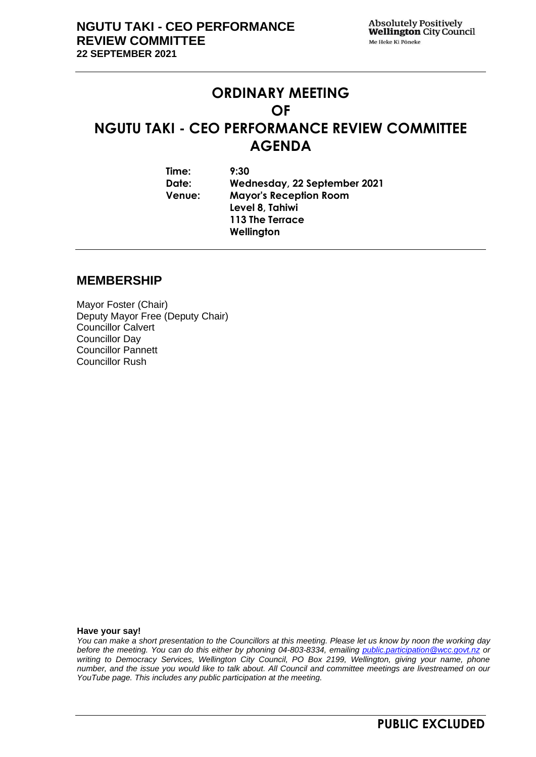# **ORDINARY MEETING OF NGUTU TAKI - CEO PERFORMANCE REVIEW COMMITTEE AGENDA**

**Time: 9:30 Date: Wednesday, 22 September 2021 Venue: Mayor's Reception Room Level 8, Tahiwi 113 The Terrace Wellington**

#### **MEMBERSHIP**

Mayor Foster (Chair) Deputy Mayor Free (Deputy Chair) Councillor Calvert Councillor Day Councillor Pannett Councillor Rush

**Have your say!**

*You can make a short presentation to the Councillors at this meeting. Please let us know by noon the working day before the meeting. You can do this either by phoning 04-803-8334, emailing public.participation@wcc.govt.nz or writing to Democracy Services, Wellington City Council, PO Box 2199, Wellington, giving your name, phone number, and the issue you would like to talk about. All Council and committee meetings are livestreamed on our YouTube page. This includes any public participation at the meeting.*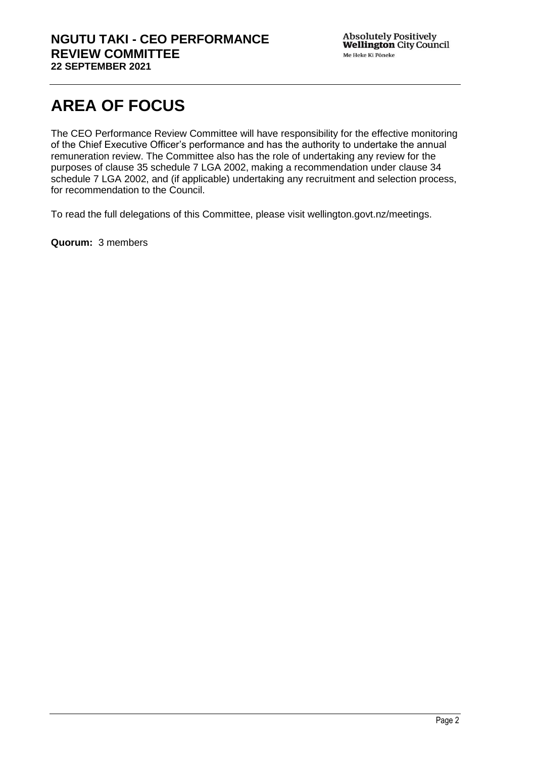# **AREA OF FOCUS**

The CEO Performance Review Committee will have responsibility for the effective monitoring of the Chief Executive Officer's performance and has the authority to undertake the annual remuneration review. The Committee also has the role of undertaking any review for the purposes of clause 35 schedule 7 LGA 2002, making a recommendation under clause 34 schedule 7 LGA 2002, and (if applicable) undertaking any recruitment and selection process, for recommendation to the Council.

To read the full delegations of this Committee, please visit wellington.govt.nz/meetings.

**Quorum:** 3 members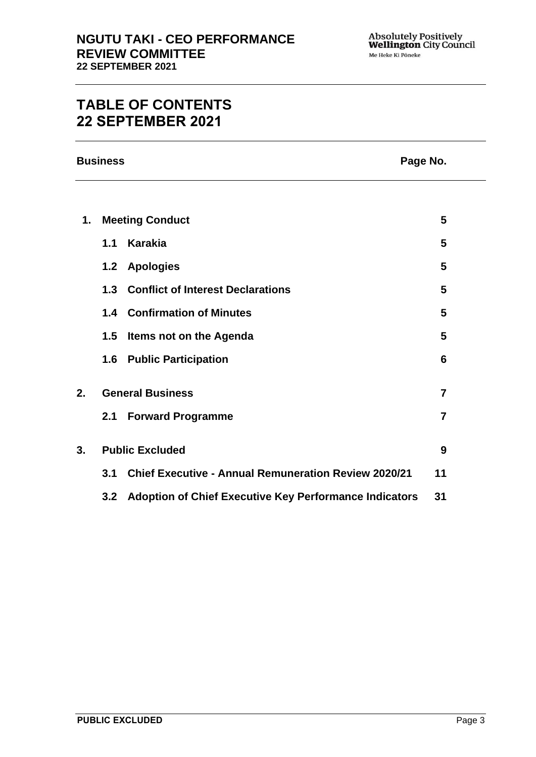## **TABLE OF CONTENTS 22 SEPTEMBER 2021**

**Business Page No.**

| $\mathbf 1$ . | <b>Meeting Conduct</b>  |                                                            | 5              |
|---------------|-------------------------|------------------------------------------------------------|----------------|
|               | 1.1                     | Karakia                                                    | 5              |
|               |                         | 1.2 Apologies                                              | 5              |
|               |                         | 1.3 Conflict of Interest Declarations                      | 5              |
|               |                         | <b>1.4 Confirmation of Minutes</b>                         | 5              |
|               | 1.5                     | Items not on the Agenda                                    | 5              |
|               |                         | <b>1.6 Public Participation</b>                            | 6              |
| 2.            | <b>General Business</b> |                                                            | 7              |
|               | 2.1                     | <b>Forward Programme</b>                                   | $\overline{7}$ |
| 3.            | <b>Public Excluded</b>  |                                                            | 9              |
|               |                         | 3.1 Chief Executive - Annual Remuneration Review 2020/21   | 11             |
|               |                         | 3.2 Adoption of Chief Executive Key Performance Indicators | 31             |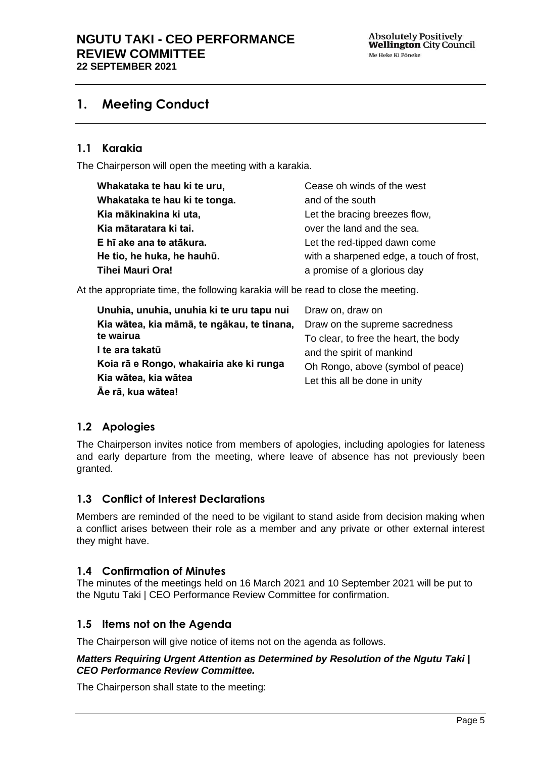### <span id="page-4-0"></span>**1. Meeting Conduct**

#### **1.1 Karakia**

The Chairperson will open the meeting with a karakia.

| Whakataka te hau ki te uru,   | Cease oh winds of the west               |
|-------------------------------|------------------------------------------|
| Whakataka te hau ki te tonga. | and of the south                         |
| Kia mākinakina ki uta,        | Let the bracing breezes flow,            |
| Kia mātaratara ki tai.        | over the land and the sea.               |
| E hī ake ana te atākura.      | Let the red-tipped dawn come             |
| He tio, he huka, he hauhū.    | with a sharpened edge, a touch of frost, |
| Tihei Mauri Ora!              | a promise of a glorious day              |

At the appropriate time, the following karakia will be read to close the meeting.

| Draw on, draw on                      |
|---------------------------------------|
| Draw on the supreme sacredness        |
| To clear, to free the heart, the body |
| and the spirit of mankind             |
| Oh Rongo, above (symbol of peace)     |
| Let this all be done in unity         |
|                                       |

#### <span id="page-4-1"></span>**1.2 Apologies**

The Chairperson invites notice from members of apologies, including apologies for lateness and early departure from the meeting, where leave of absence has not previously been granted.

#### <span id="page-4-2"></span>**1.3 Conflict of Interest Declarations**

Members are reminded of the need to be vigilant to stand aside from decision making when a conflict arises between their role as a member and any private or other external interest they might have.

#### <span id="page-4-3"></span>**1.4 Confirmation of Minutes**

The minutes of the meetings held on 16 March 2021 and 10 September 2021 will be put to the Ngutu Taki | CEO Performance Review Committee for confirmation.

#### <span id="page-4-4"></span>**1.5 Items not on the Agenda**

The Chairperson will give notice of items not on the agenda as follows.

#### *Matters Requiring Urgent Attention as Determined by Resolution of the Ngutu Taki | CEO Performance Review Committee.*

The Chairperson shall state to the meeting: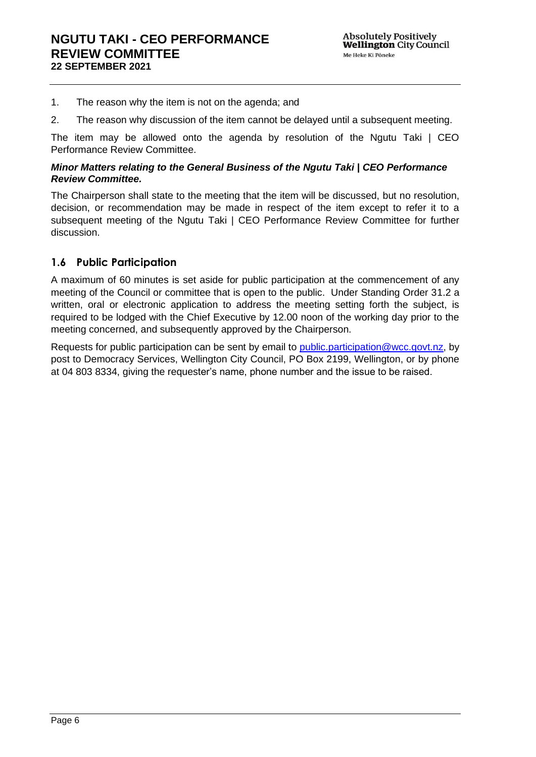- 1. The reason why the item is not on the agenda; and
- 2. The reason why discussion of the item cannot be delayed until a subsequent meeting.

The item may be allowed onto the agenda by resolution of the Ngutu Taki | CEO Performance Review Committee.

#### *Minor Matters relating to the General Business of the Ngutu Taki | CEO Performance Review Committee.*

The Chairperson shall state to the meeting that the item will be discussed, but no resolution, decision, or recommendation may be made in respect of the item except to refer it to a subsequent meeting of the Ngutu Taki | CEO Performance Review Committee for further discussion.

#### <span id="page-5-0"></span>**1.6 Public Participation**

A maximum of 60 minutes is set aside for public participation at the commencement of any meeting of the Council or committee that is open to the public. Under Standing Order 31.2 a written, oral or electronic application to address the meeting setting forth the subject, is required to be lodged with the Chief Executive by 12.00 noon of the working day prior to the meeting concerned, and subsequently approved by the Chairperson.

Requests for public participation can be sent by email to [public.participation@wcc.govt.nz,](mailto:public.participation@wcc.govt.nz) by post to Democracy Services, Wellington City Council, PO Box 2199, Wellington, or by phone at 04 803 8334, giving the requester's name, phone number and the issue to be raised.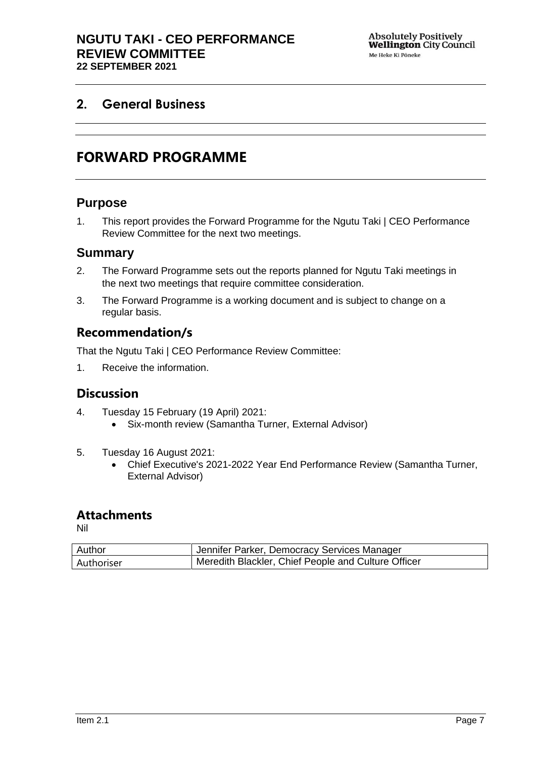### <span id="page-6-1"></span><span id="page-6-0"></span>**2. General Business**

# **FORWARD PROGRAMME**

#### **Purpose**

1. This report provides the Forward Programme for the Ngutu Taki | CEO Performance Review Committee for the next two meetings.

#### **Summary**

- 2. The Forward Programme sets out the reports planned for Ngutu Taki meetings in the next two meetings that require committee consideration.
- 3. The Forward Programme is a working document and is subject to change on a regular basis.

#### **Recommendation/s**

That the Ngutu Taki | CEO Performance Review Committee:

1. Receive the information.

### **Discussion**

- 4. Tuesday 15 February (19 April) 2021:
	- Six-month review (Samantha Turner, External Advisor)
- 5. Tuesday 16 August 2021:
	- Chief Executive's 2021-2022 Year End Performance Review (Samantha Turner, External Advisor)

#### **Attachments**

Nil

| Author     | Jennifer Parker, Democracy Services Manager           |
|------------|-------------------------------------------------------|
| Authoriser | H Meredith Blackler, Chief People and Culture Officer |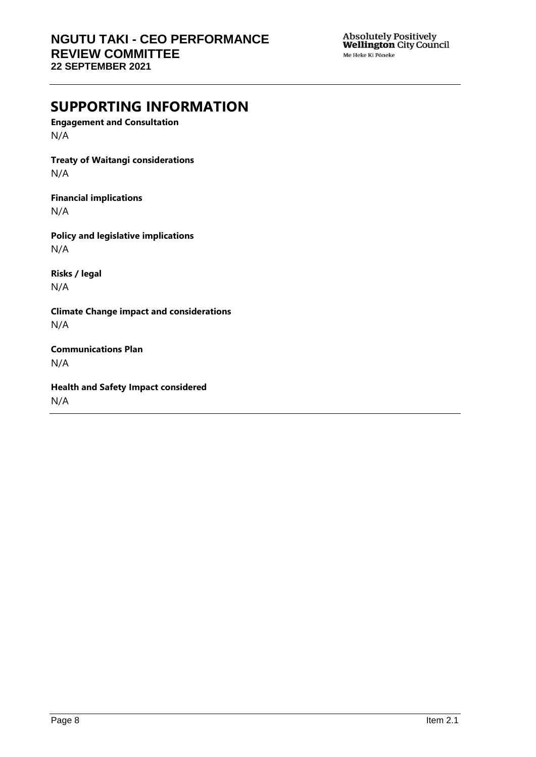Absolutely Positively<br>**Wellington** City Council Me Heke Ki Põneke

# **SUPPORTING INFORMATION**

**Engagement and Consultation** N/A

**Treaty of Waitangi considerations** N/A

**Financial implications**

N/A

**Policy and legislative implications** N/A

**Risks / legal**  N/A

**Climate Change impact and considerations** N/A

**Communications Plan** N/A

**Health and Safety Impact considered** N/A